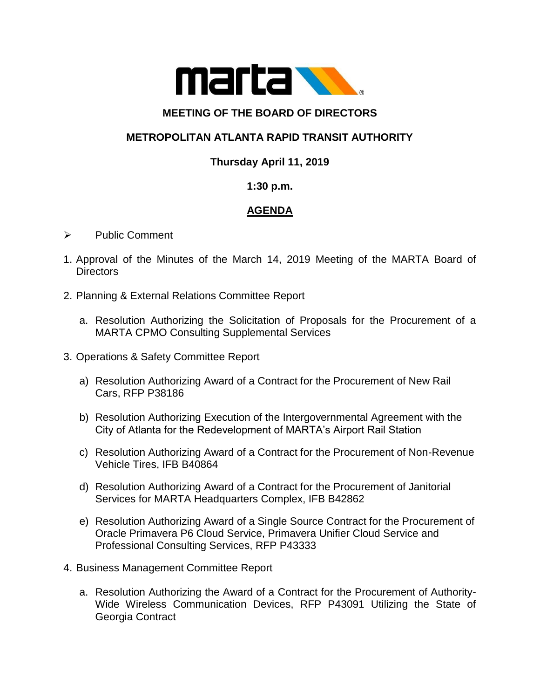

#### **MEETING OF THE BOARD OF DIRECTORS**

### **METROPOLITAN ATLANTA RAPID TRANSIT AUTHORITY**

## **Thursday April 11, 2019**

### **1:30 p.m.**

# **AGENDA**

- ➢ Public Comment
- 1. Approval of the Minutes of the March 14, 2019 Meeting of the MARTA Board of **Directors**
- 2. Planning & External Relations Committee Report
	- a. Resolution Authorizing the Solicitation of Proposals for the Procurement of a MARTA CPMO Consulting Supplemental Services
- 3. Operations & Safety Committee Report
	- a) Resolution Authorizing Award of a Contract for the Procurement of New Rail Cars, RFP P38186
	- b) Resolution Authorizing Execution of the Intergovernmental Agreement with the City of Atlanta for the Redevelopment of MARTA's Airport Rail Station
	- c) Resolution Authorizing Award of a Contract for the Procurement of Non-Revenue Vehicle Tires, IFB B40864
	- d) Resolution Authorizing Award of a Contract for the Procurement of Janitorial Services for MARTA Headquarters Complex, IFB B42862
	- e) Resolution Authorizing Award of a Single Source Contract for the Procurement of Oracle Primavera P6 Cloud Service, Primavera Unifier Cloud Service and Professional Consulting Services, RFP P43333
- 4. Business Management Committee Report
	- a. Resolution Authorizing the Award of a Contract for the Procurement of Authority-Wide Wireless Communication Devices, RFP P43091 Utilizing the State of Georgia Contract